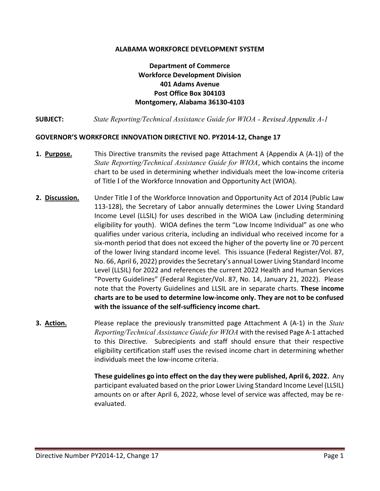### ALABAMA WORKFORCE DEVELOPMENT SYSTEM

# Department of Commerce Workforce Development Division 401 Adams Avenue Post Office Box 304103 Montgomery, Alabama 36130-4103

**SUBJECT:** State Reporting/Technical Assistance Guide for WIOA - Revised Appendix A-1

### GOVERNOR'S WORKFORCE INNOVATION DIRECTIVE NO. PY2014-12, Change 17

- 1. Purpose. This Directive transmits the revised page Attachment A (Appendix A (A-1)) of the State Reporting/Technical Assistance Guide for WIOA, which contains the income chart to be used in determining whether individuals meet the low-income criteria of Title I of the Workforce Innovation and Opportunity Act (WIOA).
- 2. **Discussion.** Under Title I of the Workforce Innovation and Opportunity Act of 2014 (Public Law 113-128), the Secretary of Labor annually determines the Lower Living Standard Income Level (LLSIL) for uses described in the WIOA Law (including determining eligibility for youth). WIOA defines the term "Low Income Individual" as one who qualifies under various criteria, including an individual who received income for a six-month period that does not exceed the higher of the poverty line or 70 percent of the lower living standard income level. This issuance (Federal Register/Vol. 87, No. 66, April 6, 2022) provides the Secretary's annual Lower Living Standard Income Level (LLSIL) for 2022 and references the current 2022 Health and Human Services "Poverty Guidelines" (Federal Register/Vol. 87, No. 14, January 21, 2022). Please note that the Poverty Guidelines and LLSIL are in separate charts. These income charts are to be used to determine low-income only. They are not to be confused with the issuance of the self-sufficiency income chart.
- **3. Action.** Please replace the previously transmitted page Attachment A (A-1) in the *State* Reporting/Technical Assistance Guide for WIOA with the revised Page A-1 attached to this Directive. Subrecipients and staff should ensure that their respective eligibility certification staff uses the revised income chart in determining whether individuals meet the low-income criteria.

These guidelines go into effect on the day they were published, April 6, 2022. Any participant evaluated based on the prior Lower Living Standard Income Level (LLSIL) amounts on or after April 6, 2022, whose level of service was affected, may be reevaluated.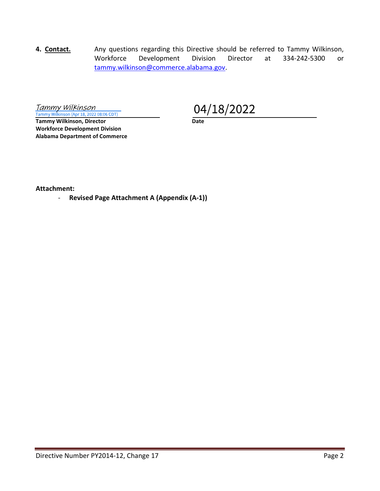4. Contact. Any questions regarding this Directive should be referred to Tammy Wilkinson, Workforce Development Division Director at 334-242-5300 or tammy.wilkinson@commerce.alabama.gov.

Tammy Wilkinson Tammy Wilkinson (Apr 18, 2022 08:06 CDT)

Tammy Wilkinson, Director **Date** Workforce Development Division Alabama Department of Commerce

04/18/2022

Attachment:

- Revised Page Attachment A (Appendix (A-1))